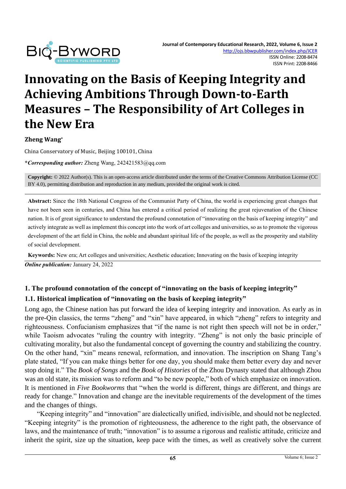

# **Innovating on the Basis of Keeping Integrity and Achieving Ambitions Through Down-to-Earth Measures – The Responsibility of Art Colleges in the New Era**

**Zheng Wang\***

China Conservatory of Music, Beijing 100101, China

**\****Corresponding author:* Zheng Wang, 242421583@qq.com

**Copyright:** © 2022 Author(s). This is an open-access article distributed under the terms of th[e Creative Commons Attribution License \(CC](https://creativecommons.org/licenses/by/4.0/)  [BY 4.0\),](https://creativecommons.org/licenses/by/4.0/) permitting distribution and reproduction in any medium, provided the original work is cited.

**Abstract:** Since the 18th National Congress of the Communist Party of China, the world is experiencing great changes that have not been seen in centuries, and China has entered a critical period of realizing the great rejuvenation of the Chinese nation. It is of great significance to understand the profound connotation of "innovating on the basis of keeping integrity" and actively integrate as well as implement this concept into the work of art colleges and universities, so as to promote the vigorous development of the art field in China, the noble and abundant spiritual life of the people, as well as the prosperity and stability of social development.

**Keywords:** New era; Art colleges and universities; Aesthetic education; Innovating on the basis of keeping integrity *Online publication:* January 24, 2022

#### **1. The profound connotation of the concept of "innovating on the basis of keeping integrity" 1.1. Historical implication of "innovating on the basis of keeping integrity"**

Long ago, the Chinese nation has put forward the idea of keeping integrity and innovation. As early as in the pre-Qin classics, the terms "zheng" and "xin" have appeared, in which "zheng" refers to integrity and righteousness. Confucianism emphasizes that "if the name is not right then speech will not be in order," while Taoism advocates "ruling the country with integrity. "Zheng" is not only the basic principle of cultivating morality, but also the fundamental concept of governing the country and stabilizing the country. On the other hand, "xin" means renewal, reformation, and innovation. The inscription on Shang Tang's plate stated, "If you can make things better for one day, you should make them better every day and never stop doing it." The *Book of Songs* and the *Book of Histories* of the Zhou Dynasty stated that although Zhou was an old state, its mission was to reform and "to be new people," both of which emphasize on innovation. It is mentioned in *Five Bookworms* that "when the world is different, things are different, and things are ready for change." Innovation and change are the inevitable requirements of the development of the times and the changes of things.

"Keeping integrity" and "innovation" are dialectically unified, indivisible, and should not be neglected. "Keeping integrity" is the promotion of righteousness, the adherence to the right path, the observance of laws, and the maintenance of truth; "innovation" is to assume a rigorous and realistic attitude, criticize and inherit the spirit, size up the situation, keep pace with the times, as well as creatively solve the current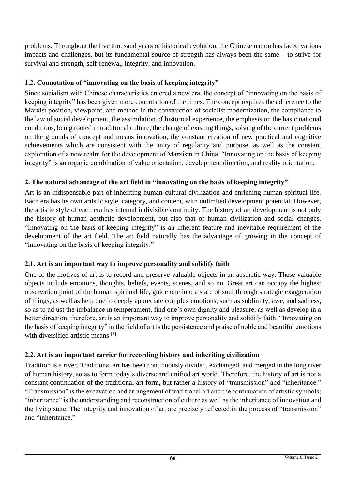problems. Throughout the five thousand years of historical evolution, the Chinese nation has faced various impacts and challenges, but its fundamental source of strength has always been the same – to strive for survival and strength, self-renewal, integrity, and innovation.

## **1.2. Connotation of "innovating on the basis of keeping integrity"**

Since socialism with Chinese characteristics entered a new era, the concept of "innovating on the basis of keeping integrity" has been given more connotation of the times. The concept requires the adherence to the Marxist position, viewpoint, and method in the construction of socialist modernization, the compliance to the law of social development, the assimilation of historical experience, the emphasis on the basic national conditions, being rooted in traditional culture, the change of existing things, solving of the current problems on the grounds of concept and means innovation, the constant creation of new practical and cognitive achievements which are consistent with the unity of regularity and purpose, as well as the constant exploration of a new realm for the development of Marxism in China. "Innovating on the basis of keeping integrity" is an organic combination of value orientation, development direction, and reality orientation.

## **2. The natural advantage of the art field in "innovating on the basis of keeping integrity"**

Art is an indispensable part of inheriting human cultural civilization and enriching human spiritual life. Each era has its own artistic style, category, and content, with unlimited development potential. However, the artistic style of each era has internal indivisible continuity. The history of art development is not only the history of human aesthetic development, but also that of human civilization and social changes. "Innovating on the basis of keeping integrity" is an inherent feature and inevitable requirement of the development of the art field. The art field naturally has the advantage of growing in the concept of "innovating on the basis of keeping integrity."

## **2.1. Art is an important way to improve personality and solidify faith**

One of the motives of art is to record and preserve valuable objects in an aesthetic way. These valuable objects include emotions, thoughts, beliefs, events, scenes, and so on. Great art can occupy the highest observation point of the human spiritual life, guide one into a state of soul through strategic exaggeration of things, as well as help one to deeply appreciate complex emotions, such as sublimity, awe, and sadness, so as to adjust the imbalance in temperament, find one's own dignity and pleasure, as well as develop in a better direction. therefore, art is an important way to improve personality and solidify faith. "Innovating on the basis of keeping integrity" in the field of art is the persistence and praise of noble and beautiful emotions with diversified artistic means [1].

## **2.2. Art is an important carrier for recording history and inheriting civilization**

Tradition is a river. Traditional art has been continuously divided, exchanged, and merged in the long river of human history, so as to form today's diverse and unified art world. Therefore, the history of art is not a constant continuation of the traditional art form, but rather a history of "transmission" and "inheritance." "Transmission" is the excavation and arrangement of traditional art and the continuation of artistic symbols; "inheritance" is the understanding and reconstruction of culture as well as the inheritance of innovation and the living state. The integrity and innovation of art are precisely reflected in the process of "transmission" and "inheritance."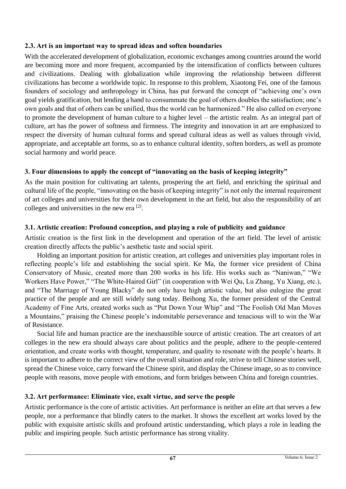#### **2.3. Art is an important way to spread ideas and soften boundaries**

With the accelerated development of globalization, economic exchanges among countries around the world are becoming more and more frequent, accompanied by the intensification of conflicts between cultures and civilizations. Dealing with globalization while improving the relationship between different civilizations has become a worldwide topic. In response to this problem, Xiaotong Fei, one of the famous founders of sociology and anthropology in China, has put forward the concept of "achieving one's own goal yields gratification, but lending a hand to consummate the goal of others doubles the satisfaction; one's own goals and that of others can be unified, thus the world can be harmonized." He also called on everyone to promote the development of human culture to a higher level – the artistic realm. As an integral part of culture, art has the power of softness and firmness. The integrity and innovation in art are emphasized to respect the diversity of human cultural forms and spread cultural ideas as well as values through vivid, appropriate, and acceptable art forms, so as to enhance cultural identity, soften borders, as well as promote social harmony and world peace.

## **3. Four dimensions to apply the concept of "innovating on the basis of keeping integrity"**

As the main position for cultivating art talents, prospering the art field, and enriching the spiritual and cultural life of the people, "innovating on the basis of keeping integrity" is not only the internal requirement of art colleges and universities for their own development in the art field, but also the responsibility of art colleges and universities in the new era [2].

## **3.1. Artistic creation: Profound conception, and playing a role of publicity and guidance**

Artistic creation is the first link in the development and operation of the art field. The level of artistic creation directly affects the public's aesthetic taste and social spirit.

Holding an important position for artistic creation, art colleges and universities play important roles in reflecting people's life and establishing the social spirit. Ke Ma, the former vice president of China Conservatory of Music, created more than 200 works in his life. His works such as "Naniwan," "We Workers Have Power," "The White-Haired Girl" (in cooperation with Wei Qu, Lu Zhang, Yu Xiang, etc.), and "The Marriage of Young Blacky" do not only have high artistic value, but also eulogize the great practice of the people and are still widely sung today. Beihong Xu, the former president of the Central Academy of Fine Arts, created works such as "Put Down Your Whip" and "The Foolish Old Man Moves a Mountains," praising the Chinese people's indomitable perseverance and tenacious will to win the War of Resistance.

Social life and human practice are the inexhaustible source of artistic creation. The art creators of art colleges in the new era should always care about politics and the people, adhere to the people-centered orientation, and create works with thought, temperature, and quality to resonate with the people's hearts. It is important to adhere to the correct view of the overall situation and role, strive to tell Chinese stories well, spread the Chinese voice, carry forward the Chinese spirit, and display the Chinese image, so as to convince people with reasons, move people with emotions, and form bridges between China and foreign countries.

## **3.2. Art performance: Eliminate vice, exalt virtue, and serve the people**

Artistic performance is the core of artistic activities. Art performance is neither an elite art that serves a few people, nor a performance that blindly caters to the market. It shows the excellent art works loved by the public with exquisite artistic skills and profound artistic understanding, which plays a role in leading the public and inspiring people. Such artistic performance has strong vitality.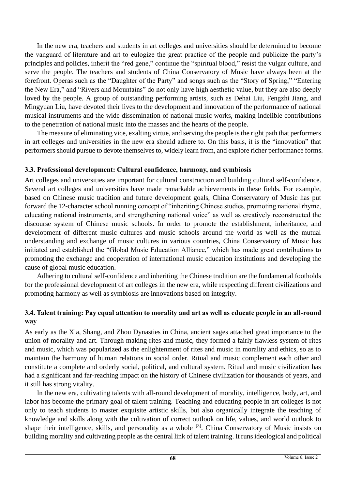In the new era, teachers and students in art colleges and universities should be determined to become the vanguard of literature and art to eulogize the great practice of the people and publicize the party's principles and policies, inherit the "red gene," continue the "spiritual blood," resist the vulgar culture, and serve the people. The teachers and students of China Conservatory of Music have always been at the forefront. Operas such as the "Daughter of the Party" and songs such as the "Story of Spring," "Entering the New Era," and "Rivers and Mountains" do not only have high aesthetic value, but they are also deeply loved by the people. A group of outstanding performing artists, such as Dehai Liu, Fengzhi Jiang, and Mingyuan Liu, have devoted their lives to the development and innovation of the performance of national musical instruments and the wide dissemination of national music works, making indelible contributions to the penetration of national music into the masses and the hearts of the people.

The measure of eliminating vice, exalting virtue, and serving the people is the right path that performers in art colleges and universities in the new era should adhere to. On this basis, it is the "innovation" that performers should pursue to devote themselves to, widely learn from, and explore richer performance forms.

#### **3.3. Professional development: Cultural confidence, harmony, and symbiosis**

Art colleges and universities are important for cultural construction and building cultural self-confidence. Several art colleges and universities have made remarkable achievements in these fields. For example, based on Chinese music tradition and future development goals, China Conservatory of Music has put forward the 12-character school running concept of "inheriting Chinese studies, promoting national rhyme, educating national instruments, and strengthening national voice" as well as creatively reconstructed the discourse system of Chinese music schools. In order to promote the establishment, inheritance, and development of different music cultures and music schools around the world as well as the mutual understanding and exchange of music cultures in various countries, China Conservatory of Music has initiated and established the "Global Music Education Alliance," which has made great contributions to promoting the exchange and cooperation of international music education institutions and developing the cause of global music education.

Adhering to cultural self-confidence and inheriting the Chinese tradition are the fundamental footholds for the professional development of art colleges in the new era, while respecting different civilizations and promoting harmony as well as symbiosis are innovations based on integrity.

#### **3.4. Talent training: Pay equal attention to morality and art as well as educate people in an all-round way**

As early as the Xia, Shang, and Zhou Dynasties in China, ancient sages attached great importance to the union of morality and art. Through making rites and music, they formed a fairly flawless system of rites and music, which was popularized as the enlightenment of rites and music in morality and ethics, so as to maintain the harmony of human relations in social order. Ritual and music complement each other and constitute a complete and orderly social, political, and cultural system. Ritual and music civilization has had a significant and far-reaching impact on the history of Chinese civilization for thousands of years, and it still has strong vitality.

In the new era, cultivating talents with all-round development of morality, intelligence, body, art, and labor has become the primary goal of talent training. Teaching and educating people in art colleges is not only to teach students to master exquisite artistic skills, but also organically integrate the teaching of knowledge and skills along with the cultivation of correct outlook on life, values, and world outlook to shape their intelligence, skills, and personality as a whole <sup>[3]</sup>. China Conservatory of Music insists on building morality and cultivating people as the central link of talent training. It runs ideological and political